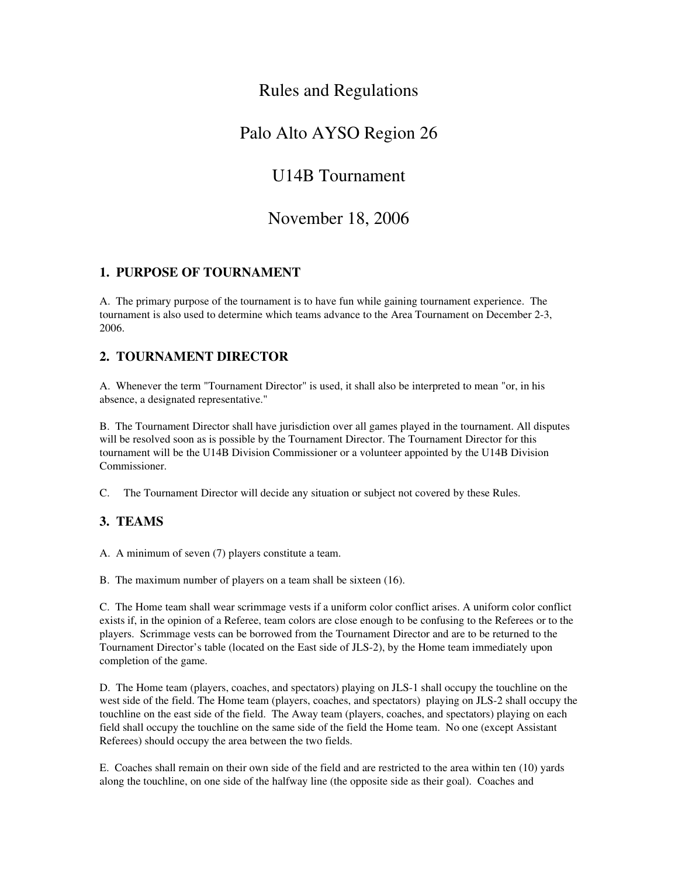# Rules and Regulations

# Palo Alto AYSO Region 26

# U14B Tournament

# November 18, 2006

### 1. PURPOSE OF TOURNAMENT

A. The primary purpose of the tournament is to have fun while gaining tournament experience. The tournament is also used to determine which teams advance to the Area Tournament on December 23, 2006.

# 2. TOURNAMENT DIRECTOR

A. Whenever the term "Tournament Director" is used, it shall also be interpreted to mean "or, in his absence, a designated representative."

B. The Tournament Director shall have jurisdiction over all games played in the tournament. All disputes will be resolved soon as is possible by the Tournament Director. The Tournament Director for this tournament will be the U14B Division Commissioner or a volunteer appointed by the U14B Division Commissioner.

C. The Tournament Director will decide any situation or subject not covered by these Rules.

# 3. TEAMS

A. A minimum of seven (7) players constitute a team.

B. The maximum number of players on a team shall be sixteen (16).

C. The Home team shall wear scrimmage vests if a uniform color conflict arises. A uniform color conflict exists if, in the opinion of a Referee, team colors are close enough to be confusing to the Referees or to the players. Scrimmage vests can be borrowed from the Tournament Director and are to be returned to the Tournament Director's table (located on the East side of JLS2), by the Home team immediately upon completion of the game.

D. The Home team (players, coaches, and spectators) playing on JLS-1 shall occupy the touchline on the west side of the field. The Home team (players, coaches, and spectators) playing on JLS-2 shall occupy the touchline on the east side of the field. The Away team (players, coaches, and spectators) playing on each field shall occupy the touchline on the same side of the field the Home team. No one (except Assistant Referees) should occupy the area between the two fields.

E. Coaches shall remain on their own side of the field and are restricted to the area within ten (10) yards along the touchline, on one side of the halfway line (the opposite side as their goal). Coaches and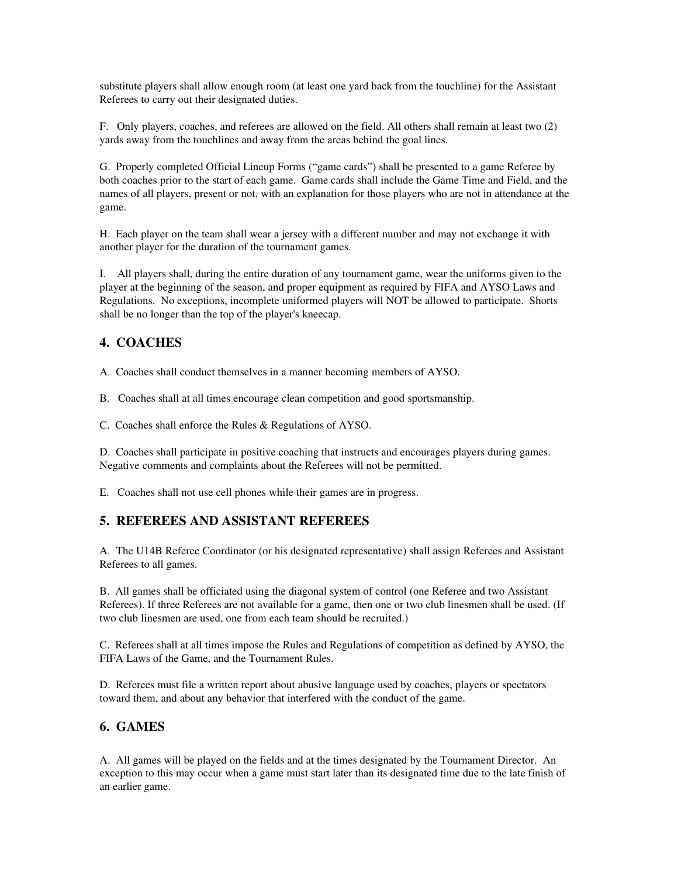substitute players shall allow enough room (at least one yard back from the touchline) for the Assistant Referees to carry out their designated duties.

F. Only players, coaches, and referees are allowed on the field. All others shall remain at least two (2) yards away from the touchlines and away from the areas behind the goal lines.

G. Properly completed Official Lineup Forms ("game cards") shall be presented to a game Referee by both coaches prior to the start of each game. Game cards shall include the Game Time and Field, and the names of all players, present or not, with an explanation for those players who are not in attendance at the game.

H. Each player on the team shall wear a jersey with a different number and may not exchange it with another player for the duration of the tournament games.

I. All players shall, during the entire duration of any tournament game, wear the uniforms given to the player at the beginning of the season, and proper equipment as required by FIFA and AYSO Laws and Regulations. No exceptions, incomplete uniformed players will NOT be allowed to participate. Shorts shall be no longer than the top of the player's kneecap.

## 4. COACHES

A. Coaches shall conduct themselves in a manner becoming members of AYSO.

B. Coaches shall at all times encourage clean competition and good sportsmanship.

C. Coaches shall enforce the Rules & Regulations of AYSO.

D. Coaches shall participate in positive coaching that instructs and encourages players during games. Negative comments and complaints about the Referees will not be permitted.

E. Coaches shall not use cell phones while their games are in progress.

# 5. REFEREES AND ASSISTANT REFEREES

A. The U14B Referee Coordinator (or his designated representative) shall assign Referees and Assistant Referees to all games.

B. All games shall be officiated using the diagonal system of control (one Referee and two Assistant Referees). If three Referees are not available for a game, then one or two club linesmen shall be used. (If two club linesmen are used, one from each team should be recruited.)

C. Referees shall at all times impose the Rules and Regulations of competition as defined by AYSO, the FIFA Laws of the Game, and the Tournament Rules.

D. Referees must file a written report about abusive language used by coaches, players or spectators toward them, and about any behavior that interfered with the conduct of the game.

# 6. GAMES

A. All games will be played on the fields and at the times designated by the Tournament Director. An exception to this may occur when a game must start later than its designated time due to the late finish of an earlier game.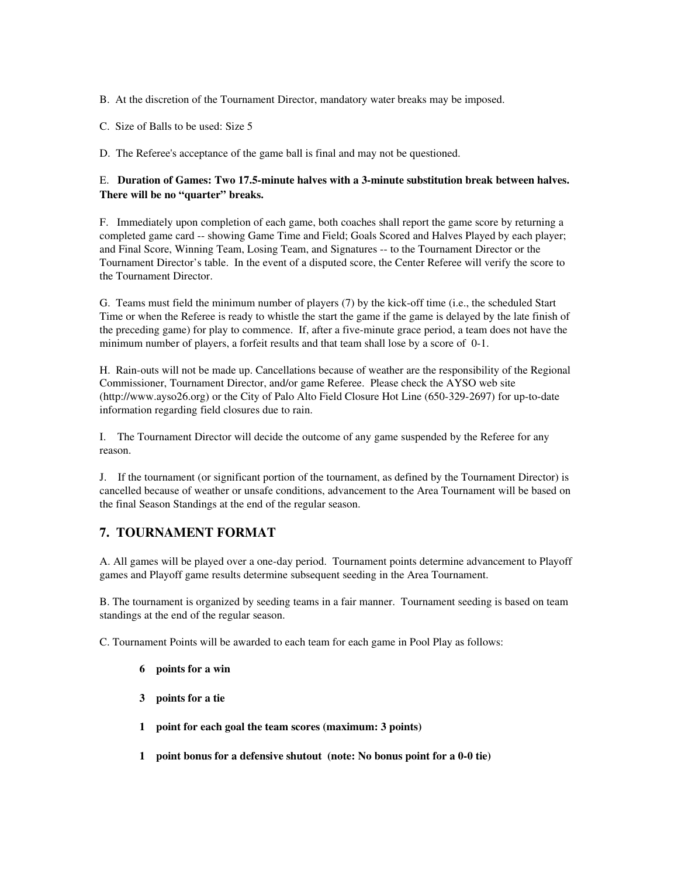- B. At the discretion of the Tournament Director, mandatory water breaks may be imposed.
- C. Size of Balls to be used: Size 5

D. The Referee's acceptance of the game ball is final and may not be questioned.

#### E. Duration of Games: Two 17.5-minute halves with a 3-minute substitution break between halves. There will be no "quarter" breaks.

F. Immediately upon completion of each game, both coaches shall report the game score by returning a completed game card -- showing Game Time and Field; Goals Scored and Halves Played by each player; and Final Score, Winning Team, Losing Team, and Signatures -- to the Tournament Director or the Tournament Director's table. In the event of a disputed score, the Center Referee will verify the score to the Tournament Director.

G. Teams must field the minimum number of players (7) by the kick-off time (i.e., the scheduled Start Time or when the Referee is ready to whistle the start the game if the game is delayed by the late finish of the preceding game) for play to commence. If, after a fiveminute grace period, a team does not have the minimum number of players, a forfeit results and that team shall lose by a score of 0-1.

H. Rain-outs will not be made up. Cancellations because of weather are the responsibility of the Regional Commissioner, Tournament Director, and/or game Referee. Please check the AYSO web site  $(http://www.ayso26.org)$  or the City of Palo Alto Field Closure Hot Line  $(650-329-2697)$  for up-to-date information regarding field closures due to rain.

I. The Tournament Director will decide the outcome of any game suspended by the Referee for any reason.

J. If the tournament (or significant portion of the tournament, as defined by the Tournament Director) is cancelled because of weather or unsafe conditions, advancement to the Area Tournament will be based on the final Season Standings at the end of the regular season.

### 7. TOURNAMENT FORMAT

A. All games will be played over a oneday period. Tournament points determine advancement to Playoff games and Playoff game results determine subsequent seeding in the Area Tournament.

B. The tournament is organized by seeding teams in a fair manner. Tournament seeding is based on team standings at the end of the regular season.

C. Tournament Points will be awarded to each team for each game in Pool Play as follows:

- 6 points for a win
- 3 points for a tie
- 1 point for each goal the team scores (maximum: 3 points)
- 1 point bonus for a defensive shutout (note: No bonus point for a 0-0 tie)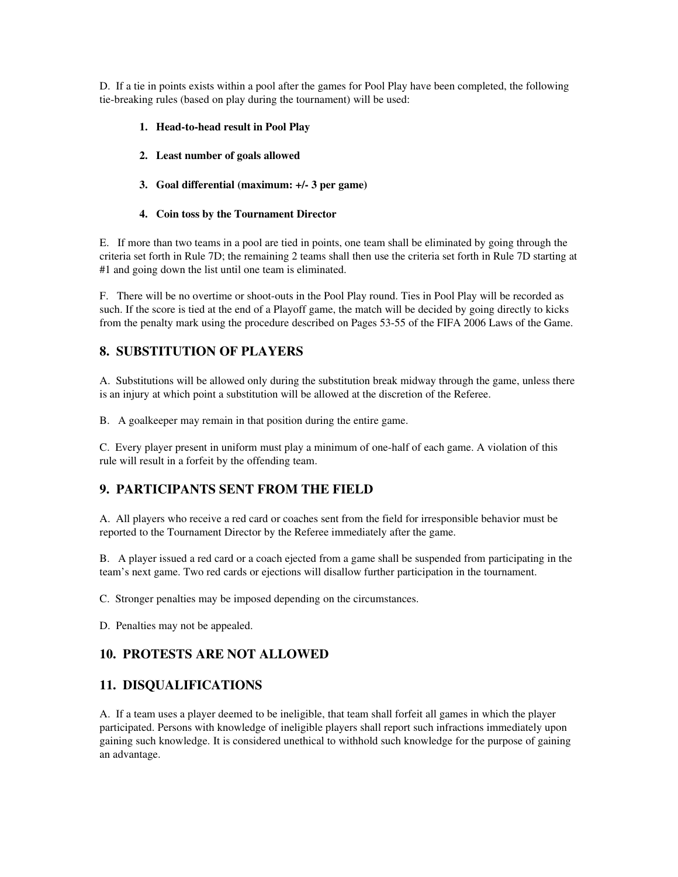D. If a tie in points exists within a pool after the games for Pool Play have been completed, the following tie-breaking rules (based on play during the tournament) will be used:

- 1. Head-to-head result in Pool Play
- 2. Least number of goals allowed
- 3. Goal differential (maximum: +/ 3 per game)
- 4. Coin toss by the Tournament Director

E. If more than two teams in a pool are tied in points, one team shall be eliminated by going through the criteria set forth in Rule 7D; the remaining 2 teams shall then use the criteria set forth in Rule 7D starting at #1 and going down the list until one team is eliminated.

F. There will be no overtime or shoot-outs in the Pool Play round. Ties in Pool Play will be recorded as such. If the score is tied at the end of a Playoff game, the match will be decided by going directly to kicks from the penalty mark using the procedure described on Pages 53-55 of the FIFA 2006 Laws of the Game.

### 8. SUBSTITUTION OF PLAYERS

A. Substitutions will be allowed only during the substitution break midway through the game, unless there is an injury at which point a substitution will be allowed at the discretion of the Referee.

B. A goalkeeper may remain in that position during the entire game.

C. Every player present in uniform must play a minimum of one-half of each game. A violation of this rule will result in a forfeit by the offending team.

# 9. PARTICIPANTS SENT FROM THE FIELD

A. All players who receive a red card or coaches sent from the field for irresponsible behavior must be reported to the Tournament Director by the Referee immediately after the game.

B. A player issued a red card or a coach ejected from a game shall be suspended from participating in the team's next game. Two red cards or ejections will disallow further participation in the tournament.

C. Stronger penalties may be imposed depending on the circumstances.

D. Penalties may not be appealed.

### 10. PROTESTS ARE NOT ALLOWED

### 11. DISQUALIFICATIONS

A. If a team uses a player deemed to be ineligible, that team shall forfeit all games in which the player participated. Persons with knowledge of ineligible players shall report such infractions immediately upon gaining such knowledge. It is considered unethical to withhold such knowledge for the purpose of gaining an advantage.